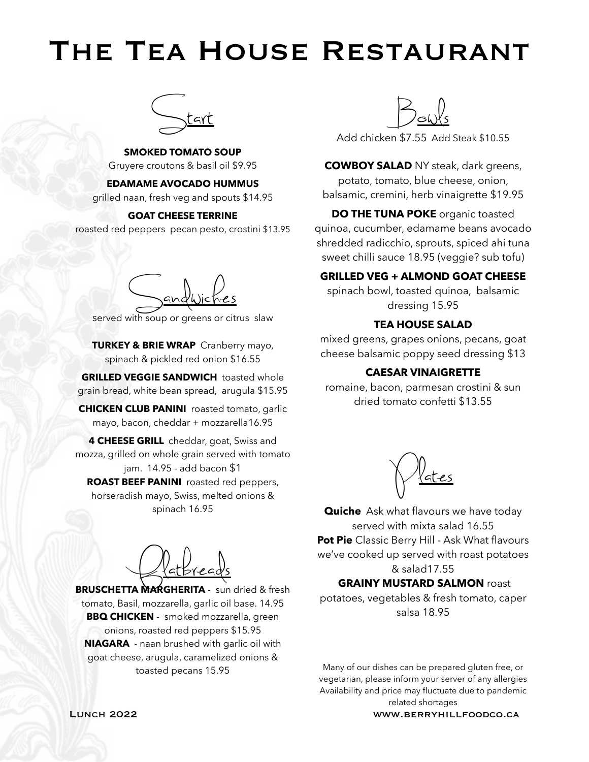# The Tea House Restaurant



**SMOKED TOMATO SOUP** Gruyere croutons & basil oil \$9.95

**EDAMAME AVOCADO HUMMUS**

grilled naan, fresh veg and spouts \$14.95

#### **GOAT CHEESE TERRINE**

roasted red peppers pecan pesto, crostini \$13.95

Sandwiches

served with soup or greens or citrus slaw

**TURKEY & BRIE WRAP** Cranberry mayo, spinach & pickled red onion \$16.55

**GRILLED VEGGIE SANDWICH** toasted whole grain bread, white bean spread, arugula \$15.95

**CHICKEN CLUB PANINI** roasted tomato, garlic mayo, bacon, cheddar + mozzarella16.95

**4 CHEESE GRILL** cheddar, goat, Swiss and mozza, grilled on whole grain served with tomato jam. 14.95 - add bacon \$1 **ROAST BEEF PANINI** roasted red peppers, horseradish mayo, Swiss, melted onions & spinach 16.95

Flatbreads

**BRUSCHETTA MARGHERITA** - sun dried & fresh tomato, Basil, mozzarella, garlic oil base. 14.95 **BBQ CHICKEN** - smoked mozzarella, green onions, roasted red peppers \$15.95 **NIAGARA** - naan brushed with garlic oil with goat cheese, arugula, caramelized onions & toasted pecans 15.95



Add chicken \$7.55 Add Steak \$10.55

**COWBOY SALAD** NY steak, dark greens, potato, tomato, blue cheese, onion, balsamic, cremini, herb vinaigrette \$19.95

**DO THE TUNA POKE** organic toasted quinoa, cucumber, edamame beans avocado shredded radicchio, sprouts, spiced ahi tuna sweet chilli sauce 18.95 (veggie? sub tofu)

#### **GRILLED VEG + ALMOND GOAT CHEESE**

spinach bowl, toasted quinoa, balsamic dressing 15.95

#### **TEA HOUSE SALAD**

mixed greens, grapes onions, pecans, goat cheese balsamic poppy seed dressing \$13

#### **CAESAR VINAIGRETTE**

romaine, bacon, parmesan crostini & sun dried tomato confetti \$13.55



**Quiche** Ask what flavours we have today served with mixta salad 16.55 **Pot Pie** Classic Berry Hill - Ask What flavours we've cooked up served with roast potatoes & salad17.55

#### **GRAINY MUSTARD SALMON roast**

potatoes, vegetables & fresh tomato, caper salsa 18.95

Many of our dishes can be prepared gluten free, or vegetarian, please inform your server of any allergies Availability and price may fluctuate due to pandemic related shortages

Lunch 2022 www.berryhillfoodco.ca